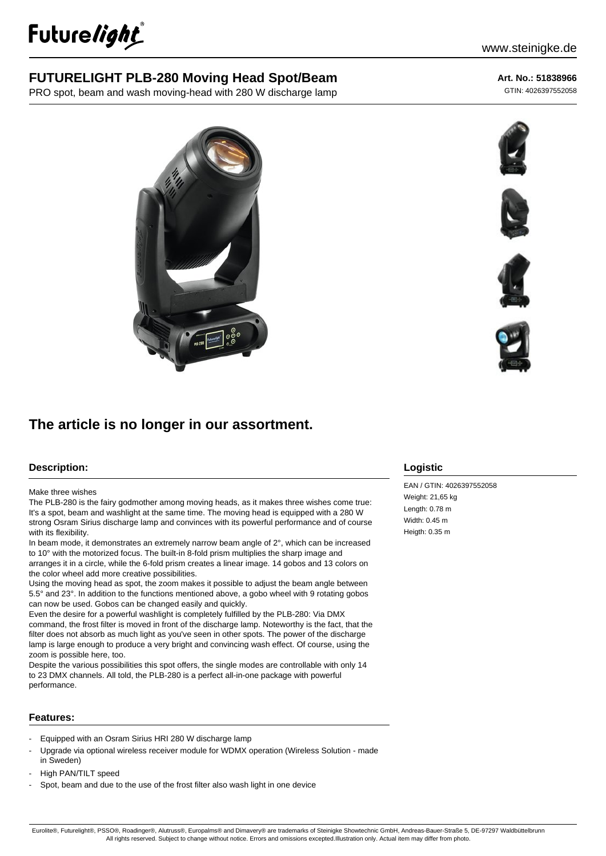

# **FUTURELIGHT PLB-280 Moving Head Spot/Beam**

PRO spot, beam and wash moving-head with 280 W discharge lamp

### **Art. No.: 51838966**

GTIN: 4026397552058



## **Description:**

#### Make three wishes

The PLB-280 is the fairy godmother among moving heads, as it makes three wishes come true: It's a spot, beam and washlight at the same time. The moving head is equipped with a 280 W strong Osram Sirius discharge lamp and convinces with its powerful performance and of course with its flexibility.

**The article is no longer in our assortment.**

In beam mode, it demonstrates an extremely narrow beam angle of 2°, which can be increased to 10° with the motorized focus. The built-in 8-fold prism multiplies the sharp image and arranges it in a circle, while the 6-fold prism creates a linear image. 14 gobos and 13 colors on the color wheel add more creative possibilities.

Using the moving head as spot, the zoom makes it possible to adjust the beam angle between 5.5° and 23°. In addition to the functions mentioned above, a gobo wheel with 9 rotating gobos can now be used. Gobos can be changed easily and quickly.

Even the desire for a powerful washlight is completely fulfilled by the PLB-280: Via DMX command, the frost filter is moved in front of the discharge lamp. Noteworthy is the fact, that the filter does not absorb as much light as you've seen in other spots. The power of the discharge lamp is large enough to produce a very bright and convincing wash effect. Of course, using the zoom is possible here, too.

Despite the various possibilities this spot offers, the single modes are controllable with only 14 to 23 DMX channels. All told, the PLB-280 is a perfect all-in-one package with powerful performance.

## **Features:**

- Equipped with an Osram Sirius HRI 280 W discharge lamp
- Upgrade via optional wireless receiver module for WDMX operation (Wireless Solution made in Sweden)
- High PAN/TILT speed
- Spot, beam and due to the use of the frost filter also wash light in one device



EAN / GTIN: 4026397552058 Weight: 21,65 kg Length: 0.78 m Width: 0.45 m Heigth: 0.35 m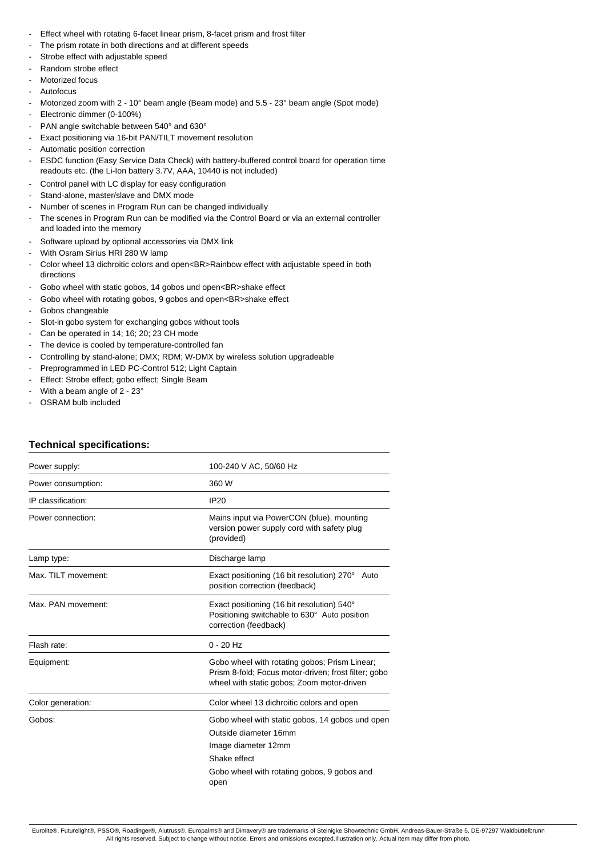- Effect wheel with rotating 6-facet linear prism, 8-facet prism and frost filter
- The prism rotate in both directions and at different speeds
- Strobe effect with adjustable speed
- Random strobe effect
- Motorized focus
- **Autofocus**
- Motorized zoom with 2 10° beam angle (Beam mode) and 5.5 23° beam angle (Spot mode)
- Electronic dimmer (0-100%)
- PAN angle switchable between 540° and 630°
- Exact positioning via 16-bit PAN/TILT movement resolution
- Automatic position correction
- ESDC function (Easy Service Data Check) with battery-buffered control board for operation time readouts etc. (the Li-Ion battery 3.7V, AAA, 10440 is not included)
- Control panel with LC display for easy configuration
- Stand-alone, master/slave and DMX mode
- Number of scenes in Program Run can be changed individually
- The scenes in Program Run can be modified via the Control Board or via an external controller and loaded into the memory
- Software upload by optional accessories via DMX link
- With Osram Sirius HRI 280 W lamp
- Color wheel 13 dichroitic colors and open<BR>Rainbow effect with adjustable speed in both directions
- Gobo wheel with static gobos, 14 gobos und open<BR>shake effect
- Gobo wheel with rotating gobos, 9 gobos and open<BR>shake effect
- Gobos changeable
- Slot-in gobo system for exchanging gobos without tools
- Can be operated in 14; 16; 20; 23 CH mode
- The device is cooled by temperature-controlled fan
- Controlling by stand-alone; DMX; RDM; W-DMX by wireless solution upgradeable
- Preprogrammed in LED PC-Control 512; Light Captain
- Effect: Strobe effect; gobo effect; Single Beam
- With a beam angle of  $2 23^\circ$
- OSRAM bulb included

## **Technical specifications:**

| Power supply:       | 100-240 V AC, 50/60 Hz                                                                                                                                                 |
|---------------------|------------------------------------------------------------------------------------------------------------------------------------------------------------------------|
| Power consumption:  | 360 W                                                                                                                                                                  |
| IP classification:  | <b>IP20</b>                                                                                                                                                            |
| Power connection:   | Mains input via PowerCON (blue), mounting<br>version power supply cord with safety plug<br>(provided)                                                                  |
| Lamp type:          | Discharge lamp                                                                                                                                                         |
| Max. TILT movement: | Exact positioning (16 bit resolution) 270° Auto<br>position correction (feedback)                                                                                      |
| Max. PAN movement:  | Exact positioning (16 bit resolution) 540°<br>Positioning switchable to 630° Auto position<br>correction (feedback)                                                    |
| Flash rate:         | $0 - 20$ Hz                                                                                                                                                            |
| Equipment:          | Gobo wheel with rotating gobos; Prism Linear;<br>Prism 8-fold; Focus motor-driven; frost filter; gobo<br>wheel with static gobos; Zoom motor-driven                    |
| Color generation:   | Color wheel 13 dichroitic colors and open                                                                                                                              |
| Gobos:              | Gobo wheel with static gobos, 14 gobos und open<br>Outside diameter 16mm<br>Image diameter 12mm<br>Shake effect<br>Gobo wheel with rotating gobos, 9 gobos and<br>open |